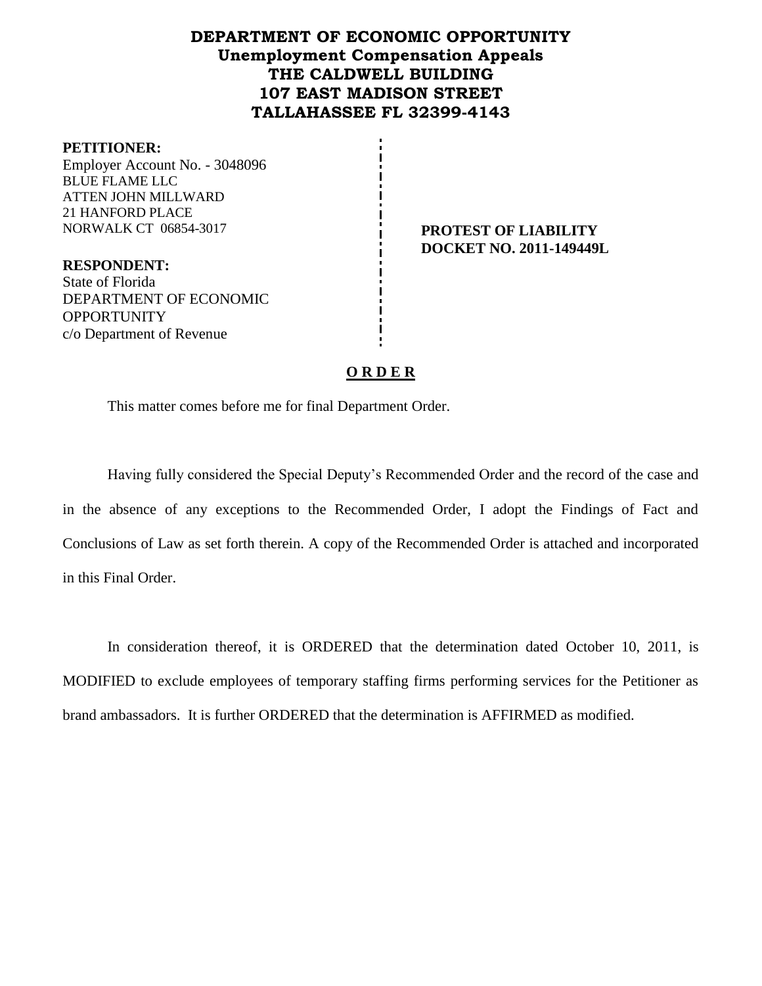# **DEPARTMENT OF ECONOMIC OPPORTUNITY Unemployment Compensation Appeals THE CALDWELL BUILDING 107 EAST MADISON STREET TALLAHASSEE FL 32399-4143**

#### **PETITIONER:**

Employer Account No. - 3048096 BLUE FLAME LLC ATTEN JOHN MILLWARD 21 HANFORD PLACE NORWALK CT 06854-3017 **PROTEST OF LIABILITY** 

**RESPONDENT:** State of Florida DEPARTMENT OF ECONOMIC **OPPORTUNITY** c/o Department of Revenue

**DOCKET NO. 2011-149449L**

### **O R D E R**

This matter comes before me for final Department Order.

Having fully considered the Special Deputy's Recommended Order and the record of the case and in the absence of any exceptions to the Recommended Order, I adopt the Findings of Fact and Conclusions of Law as set forth therein. A copy of the Recommended Order is attached and incorporated in this Final Order.

In consideration thereof, it is ORDERED that the determination dated October 10, 2011, is MODIFIED to exclude employees of temporary staffing firms performing services for the Petitioner as brand ambassadors. It is further ORDERED that the determination is AFFIRMED as modified.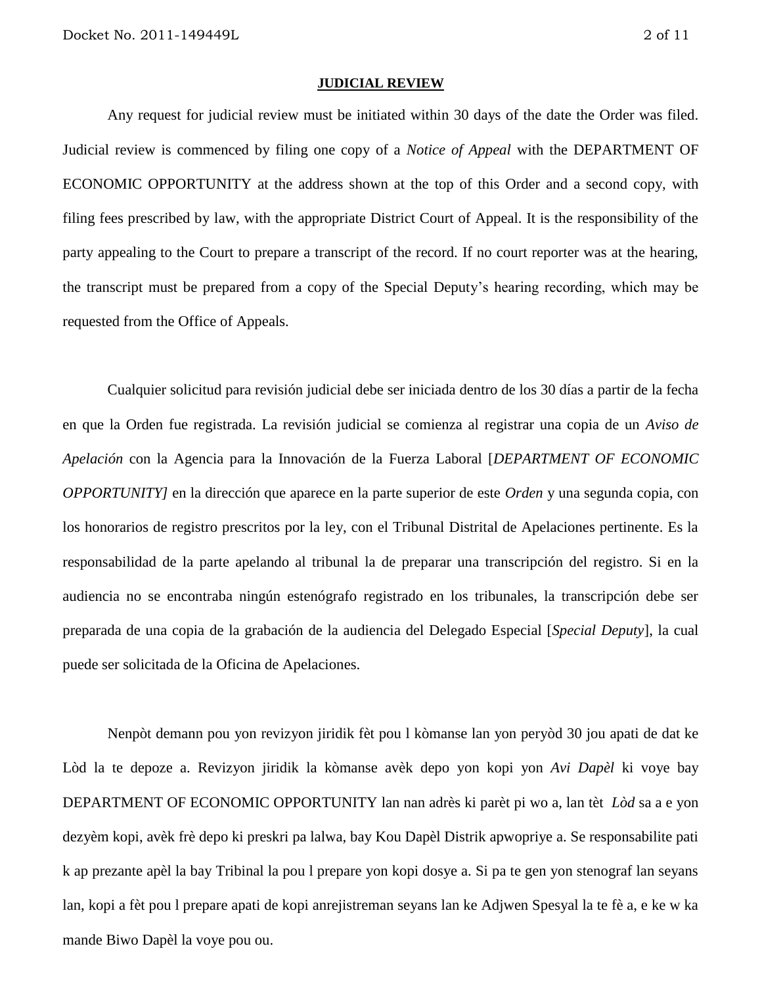#### **JUDICIAL REVIEW**

Any request for judicial review must be initiated within 30 days of the date the Order was filed. Judicial review is commenced by filing one copy of a *Notice of Appeal* with the DEPARTMENT OF ECONOMIC OPPORTUNITY at the address shown at the top of this Order and a second copy, with filing fees prescribed by law, with the appropriate District Court of Appeal. It is the responsibility of the party appealing to the Court to prepare a transcript of the record. If no court reporter was at the hearing, the transcript must be prepared from a copy of the Special Deputy's hearing recording, which may be requested from the Office of Appeals.

Cualquier solicitud para revisión judicial debe ser iniciada dentro de los 30 días a partir de la fecha en que la Orden fue registrada. La revisión judicial se comienza al registrar una copia de un *Aviso de Apelación* con la Agencia para la Innovación de la Fuerza Laboral [*DEPARTMENT OF ECONOMIC OPPORTUNITY]* en la dirección que aparece en la parte superior de este *Orden* y una segunda copia, con los honorarios de registro prescritos por la ley, con el Tribunal Distrital de Apelaciones pertinente. Es la responsabilidad de la parte apelando al tribunal la de preparar una transcripción del registro. Si en la audiencia no se encontraba ningún estenógrafo registrado en los tribunales, la transcripción debe ser preparada de una copia de la grabación de la audiencia del Delegado Especial [*Special Deputy*], la cual puede ser solicitada de la Oficina de Apelaciones.

Nenpòt demann pou yon revizyon jiridik fèt pou l kòmanse lan yon peryòd 30 jou apati de dat ke Lòd la te depoze a. Revizyon jiridik la kòmanse avèk depo yon kopi yon *Avi Dapèl* ki voye bay DEPARTMENT OF ECONOMIC OPPORTUNITY lan nan adrès ki parèt pi wo a, lan tèt *Lòd* sa a e yon dezyèm kopi, avèk frè depo ki preskri pa lalwa, bay Kou Dapèl Distrik apwopriye a. Se responsabilite pati k ap prezante apèl la bay Tribinal la pou l prepare yon kopi dosye a. Si pa te gen yon stenograf lan seyans lan, kopi a fèt pou l prepare apati de kopi anrejistreman seyans lan ke Adjwen Spesyal la te fè a, e ke w ka mande Biwo Dapèl la voye pou ou.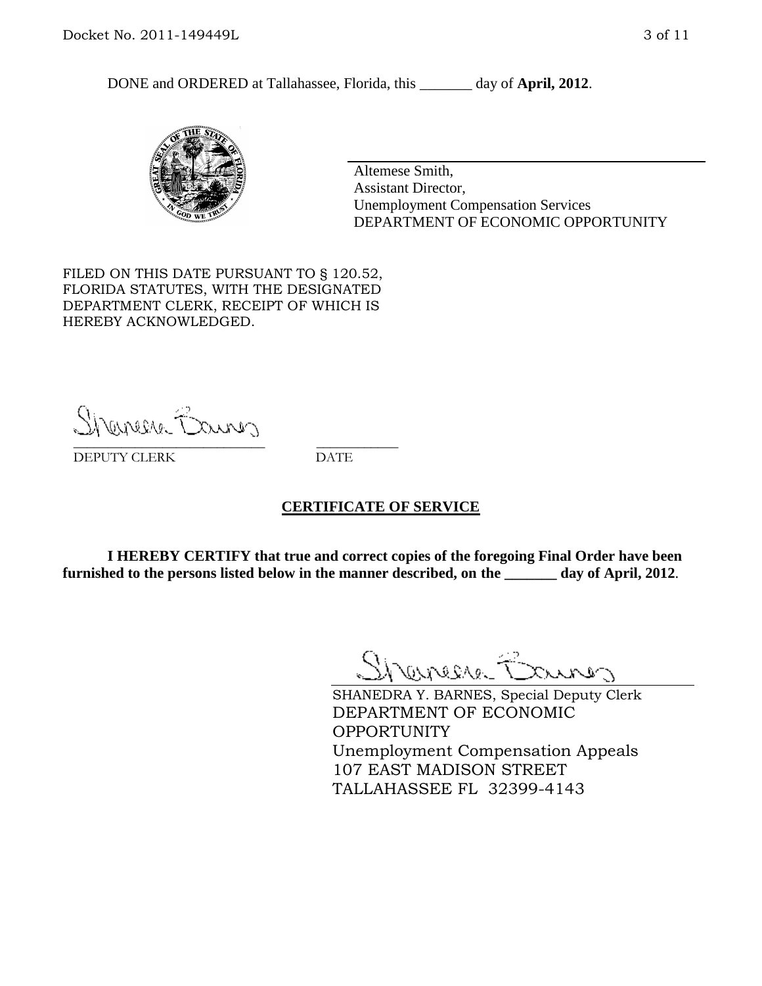DONE and ORDERED at Tallahassee, Florida, this day of **April, 2012**.



Altemese Smith, Assistant Director, Unemployment Compensation Services DEPARTMENT OF ECONOMIC OPPORTUNITY

FILED ON THIS DATE PURSUANT TO § 120.52, FLORIDA STATUTES, WITH THE DESIGNATED DEPARTMENT CLERK, RECEIPT OF WHICH IS HEREBY ACKNOWLEDGED.

Shenesse Baurer \_\_\_\_\_\_\_\_\_\_\_\_\_\_\_\_\_\_\_\_\_\_\_\_\_\_\_\_ \_\_\_\_\_\_\_\_\_\_\_\_

DEPUTY CLERK DATE

#### **CERTIFICATE OF SERVICE**

**I HEREBY CERTIFY that true and correct copies of the foregoing Final Order have been furnished to the persons listed below in the manner described, on the \_\_\_\_\_\_\_ day of April, 2012**.

Shaner Barnes

SHANEDRA Y. BARNES, Special Deputy Clerk DEPARTMENT OF ECONOMIC OPPORTUNITY Unemployment Compensation Appeals 107 EAST MADISON STREET TALLAHASSEE FL 32399-4143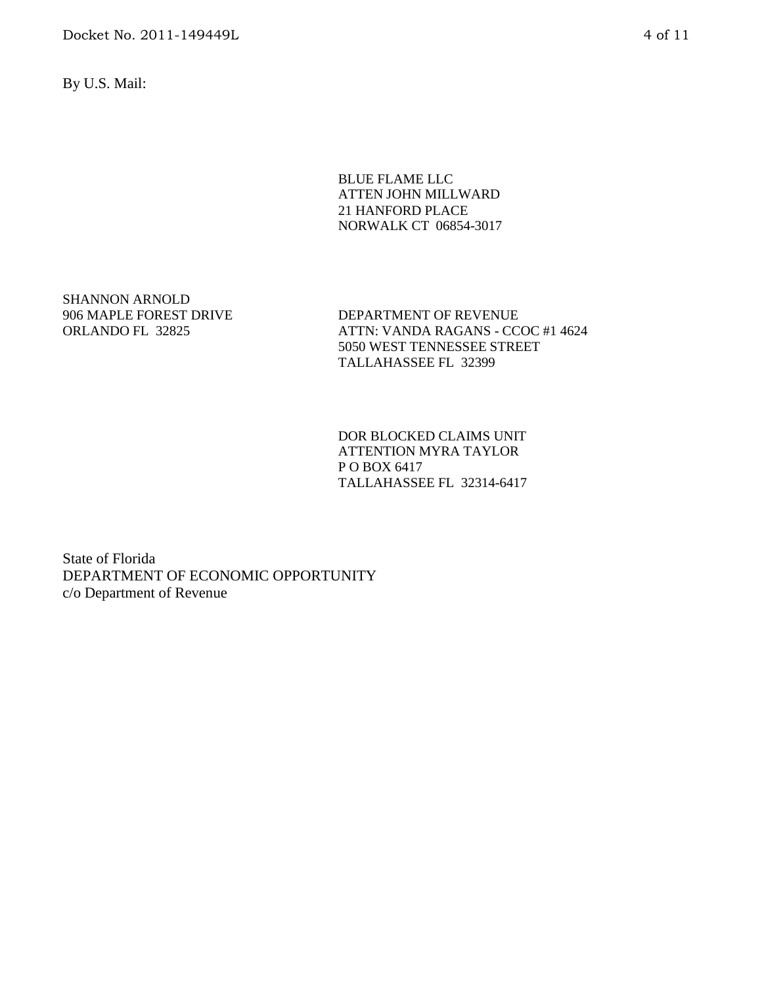Docket No. 2011-149449L 4 of 11

By U.S. Mail:

BLUE FLAME LLC ATTEN JOHN MILLWARD 21 HANFORD PLACE NORWALK CT 06854-3017

SHANNON ARNOLD 906 MAPLE FOREST DRIVE ORLANDO FL 32825

DEPARTMENT OF REVENUE ATTN: VANDA RAGANS - CCOC #1 4624 5050 WEST TENNESSEE STREET TALLAHASSEE FL 32399

DOR BLOCKED CLAIMS UNIT ATTENTION MYRA TAYLOR P O BOX 6417 TALLAHASSEE FL 32314-6417

State of Florida DEPARTMENT OF ECONOMIC OPPORTUNITY c/o Department of Revenue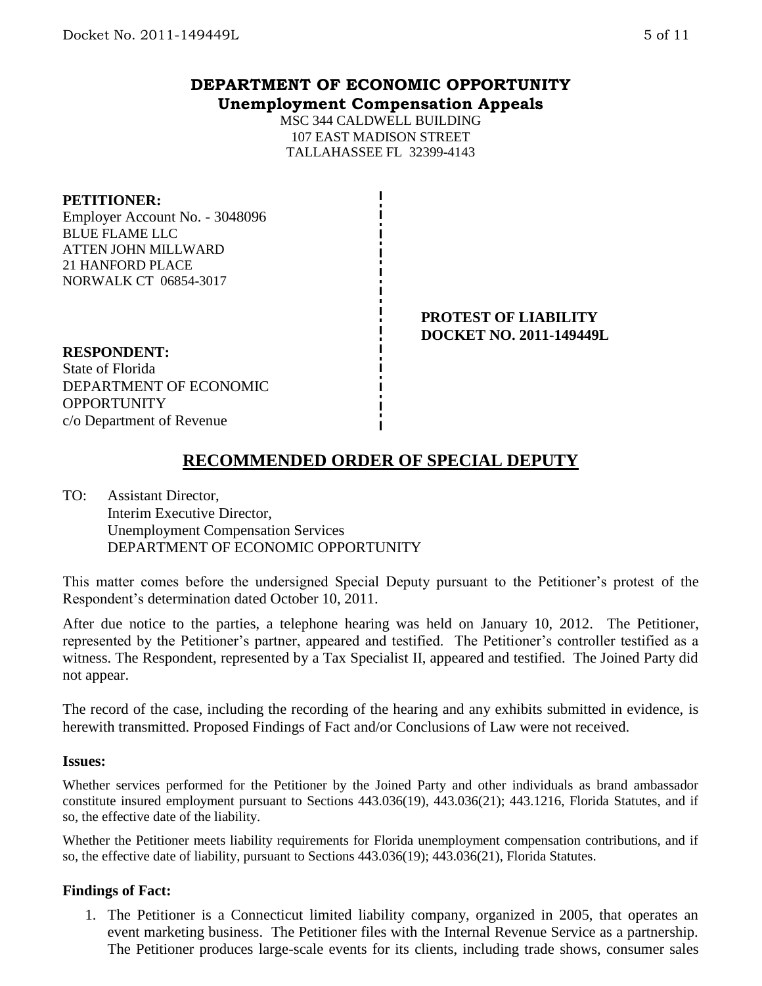## **DEPARTMENT OF ECONOMIC OPPORTUNITY Unemployment Compensation Appeals**

MSC 344 CALDWELL BUILDING 107 EAST MADISON STREET TALLAHASSEE FL 32399-4143

### **PETITIONER:**

Employer Account No. - 3048096 BLUE FLAME LLC ATTEN JOHN MILLWARD 21 HANFORD PLACE NORWALK CT 06854-3017

> **PROTEST OF LIABILITY DOCKET NO. 2011-149449L**

### **RESPONDENT:**

State of Florida DEPARTMENT OF ECONOMIC **OPPORTUNITY** c/o Department of Revenue

# **RECOMMENDED ORDER OF SPECIAL DEPUTY**

TO: Assistant Director, Interim Executive Director, Unemployment Compensation Services DEPARTMENT OF ECONOMIC OPPORTUNITY

This matter comes before the undersigned Special Deputy pursuant to the Petitioner's protest of the Respondent's determination dated October 10, 2011.

After due notice to the parties, a telephone hearing was held on January 10, 2012. The Petitioner, represented by the Petitioner's partner, appeared and testified. The Petitioner's controller testified as a witness. The Respondent, represented by a Tax Specialist II, appeared and testified. The Joined Party did not appear.

The record of the case, including the recording of the hearing and any exhibits submitted in evidence, is herewith transmitted. Proposed Findings of Fact and/or Conclusions of Law were not received.

#### **Issues:**

Whether services performed for the Petitioner by the Joined Party and other individuals as brand ambassador constitute insured employment pursuant to Sections 443.036(19), 443.036(21); 443.1216, Florida Statutes, and if so, the effective date of the liability.

Whether the Petitioner meets liability requirements for Florida unemployment compensation contributions, and if so, the effective date of liability, pursuant to Sections 443.036(19); 443.036(21), Florida Statutes.

## **Findings of Fact:**

1. The Petitioner is a Connecticut limited liability company, organized in 2005, that operates an event marketing business. The Petitioner files with the Internal Revenue Service as a partnership. The Petitioner produces large-scale events for its clients, including trade shows, consumer sales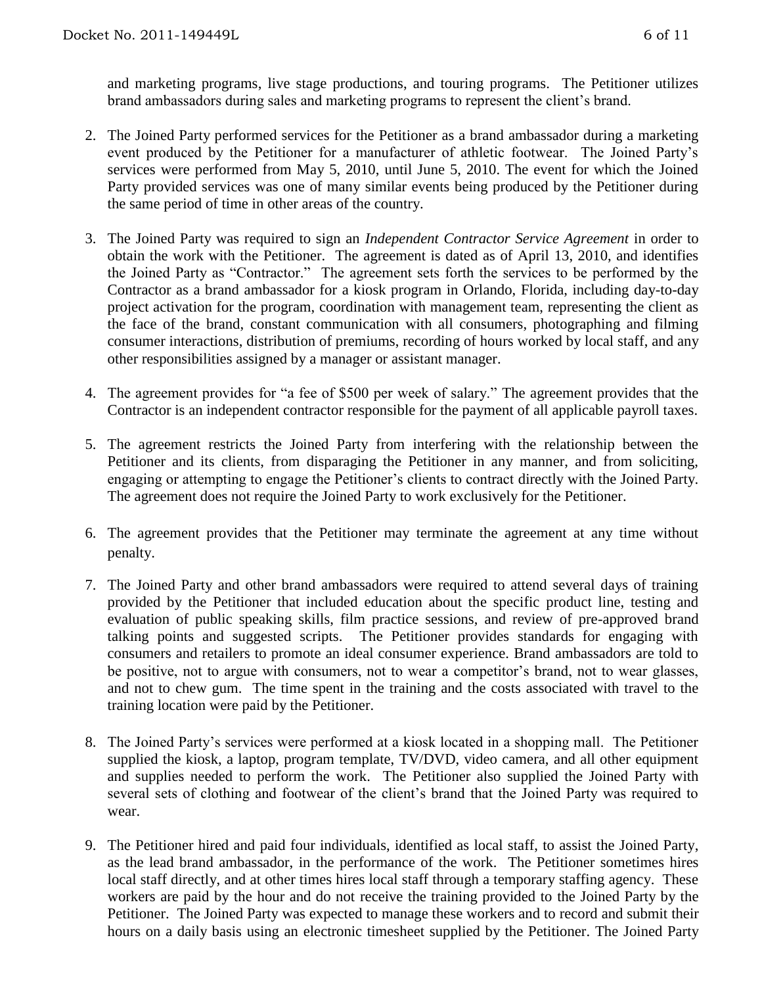and marketing programs, live stage productions, and touring programs. The Petitioner utilizes brand ambassadors during sales and marketing programs to represent the client's brand.

- 2. The Joined Party performed services for the Petitioner as a brand ambassador during a marketing event produced by the Petitioner for a manufacturer of athletic footwear. The Joined Party's services were performed from May 5, 2010, until June 5, 2010. The event for which the Joined Party provided services was one of many similar events being produced by the Petitioner during the same period of time in other areas of the country.
- 3. The Joined Party was required to sign an *Independent Contractor Service Agreement* in order to obtain the work with the Petitioner. The agreement is dated as of April 13, 2010, and identifies the Joined Party as "Contractor." The agreement sets forth the services to be performed by the Contractor as a brand ambassador for a kiosk program in Orlando, Florida, including day-to-day project activation for the program, coordination with management team, representing the client as the face of the brand, constant communication with all consumers, photographing and filming consumer interactions, distribution of premiums, recording of hours worked by local staff, and any other responsibilities assigned by a manager or assistant manager.
- 4. The agreement provides for "a fee of \$500 per week of salary." The agreement provides that the Contractor is an independent contractor responsible for the payment of all applicable payroll taxes.
- 5. The agreement restricts the Joined Party from interfering with the relationship between the Petitioner and its clients, from disparaging the Petitioner in any manner, and from soliciting, engaging or attempting to engage the Petitioner's clients to contract directly with the Joined Party. The agreement does not require the Joined Party to work exclusively for the Petitioner.
- 6. The agreement provides that the Petitioner may terminate the agreement at any time without penalty.
- 7. The Joined Party and other brand ambassadors were required to attend several days of training provided by the Petitioner that included education about the specific product line, testing and evaluation of public speaking skills, film practice sessions, and review of pre-approved brand talking points and suggested scripts. The Petitioner provides standards for engaging with consumers and retailers to promote an ideal consumer experience. Brand ambassadors are told to be positive, not to argue with consumers, not to wear a competitor's brand, not to wear glasses, and not to chew gum. The time spent in the training and the costs associated with travel to the training location were paid by the Petitioner.
- 8. The Joined Party's services were performed at a kiosk located in a shopping mall. The Petitioner supplied the kiosk, a laptop, program template, TV/DVD, video camera, and all other equipment and supplies needed to perform the work. The Petitioner also supplied the Joined Party with several sets of clothing and footwear of the client's brand that the Joined Party was required to wear.
- 9. The Petitioner hired and paid four individuals, identified as local staff, to assist the Joined Party, as the lead brand ambassador, in the performance of the work. The Petitioner sometimes hires local staff directly, and at other times hires local staff through a temporary staffing agency. These workers are paid by the hour and do not receive the training provided to the Joined Party by the Petitioner. The Joined Party was expected to manage these workers and to record and submit their hours on a daily basis using an electronic timesheet supplied by the Petitioner. The Joined Party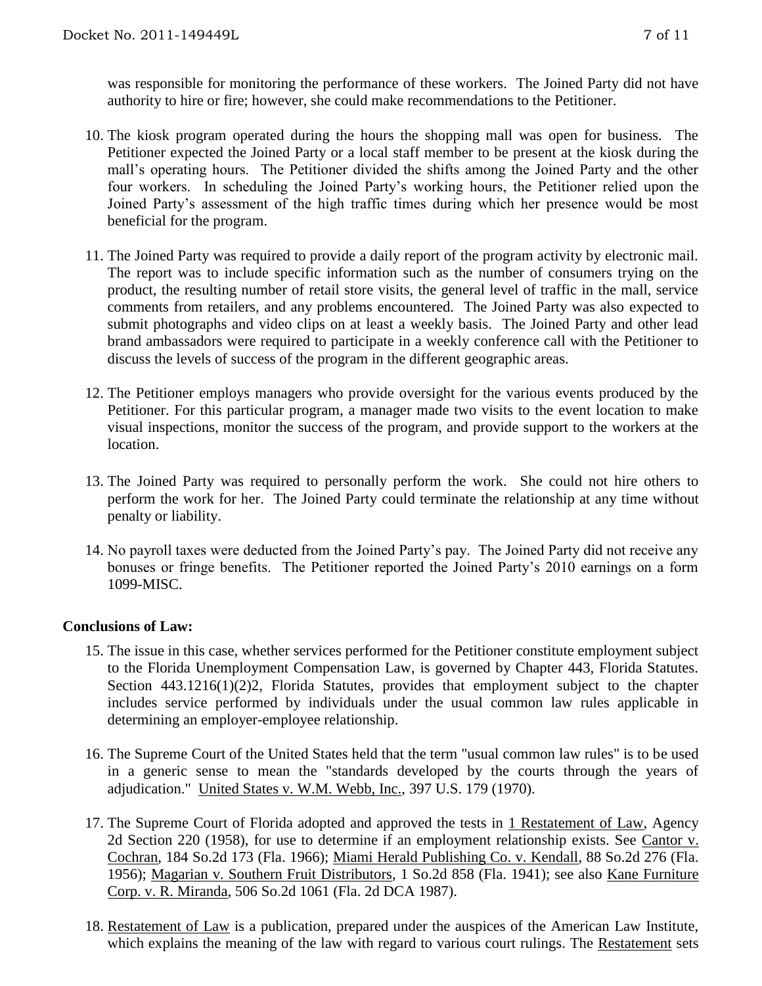was responsible for monitoring the performance of these workers. The Joined Party did not have authority to hire or fire; however, she could make recommendations to the Petitioner.

- 10. The kiosk program operated during the hours the shopping mall was open for business. The Petitioner expected the Joined Party or a local staff member to be present at the kiosk during the mall's operating hours. The Petitioner divided the shifts among the Joined Party and the other four workers. In scheduling the Joined Party's working hours, the Petitioner relied upon the Joined Party's assessment of the high traffic times during which her presence would be most beneficial for the program.
- 11. The Joined Party was required to provide a daily report of the program activity by electronic mail. The report was to include specific information such as the number of consumers trying on the product, the resulting number of retail store visits, the general level of traffic in the mall, service comments from retailers, and any problems encountered. The Joined Party was also expected to submit photographs and video clips on at least a weekly basis. The Joined Party and other lead brand ambassadors were required to participate in a weekly conference call with the Petitioner to discuss the levels of success of the program in the different geographic areas.
- 12. The Petitioner employs managers who provide oversight for the various events produced by the Petitioner. For this particular program, a manager made two visits to the event location to make visual inspections, monitor the success of the program, and provide support to the workers at the location.
- 13. The Joined Party was required to personally perform the work. She could not hire others to perform the work for her. The Joined Party could terminate the relationship at any time without penalty or liability.
- 14. No payroll taxes were deducted from the Joined Party's pay. The Joined Party did not receive any bonuses or fringe benefits. The Petitioner reported the Joined Party's 2010 earnings on a form 1099-MISC.

#### **Conclusions of Law:**

- 15. The issue in this case, whether services performed for the Petitioner constitute employment subject to the Florida Unemployment Compensation Law, is governed by Chapter 443, Florida Statutes. Section 443.1216(1)(2)2, Florida Statutes, provides that employment subject to the chapter includes service performed by individuals under the usual common law rules applicable in determining an employer-employee relationship.
- 16. The Supreme Court of the United States held that the term "usual common law rules" is to be used in a generic sense to mean the "standards developed by the courts through the years of adjudication." United States v. W.M. Webb, Inc., 397 U.S. 179 (1970).
- 17. The Supreme Court of Florida adopted and approved the tests in 1 Restatement of Law, Agency 2d Section 220 (1958), for use to determine if an employment relationship exists. See Cantor v. Cochran, 184 So.2d 173 (Fla. 1966); Miami Herald Publishing Co. v. Kendall, 88 So.2d 276 (Fla. 1956); Magarian v. Southern Fruit Distributors, 1 So.2d 858 (Fla. 1941); see also Kane Furniture Corp. v. R. Miranda, 506 So.2d 1061 (Fla. 2d DCA 1987).
- 18. Restatement of Law is a publication, prepared under the auspices of the American Law Institute, which explains the meaning of the law with regard to various court rulings. The Restatement sets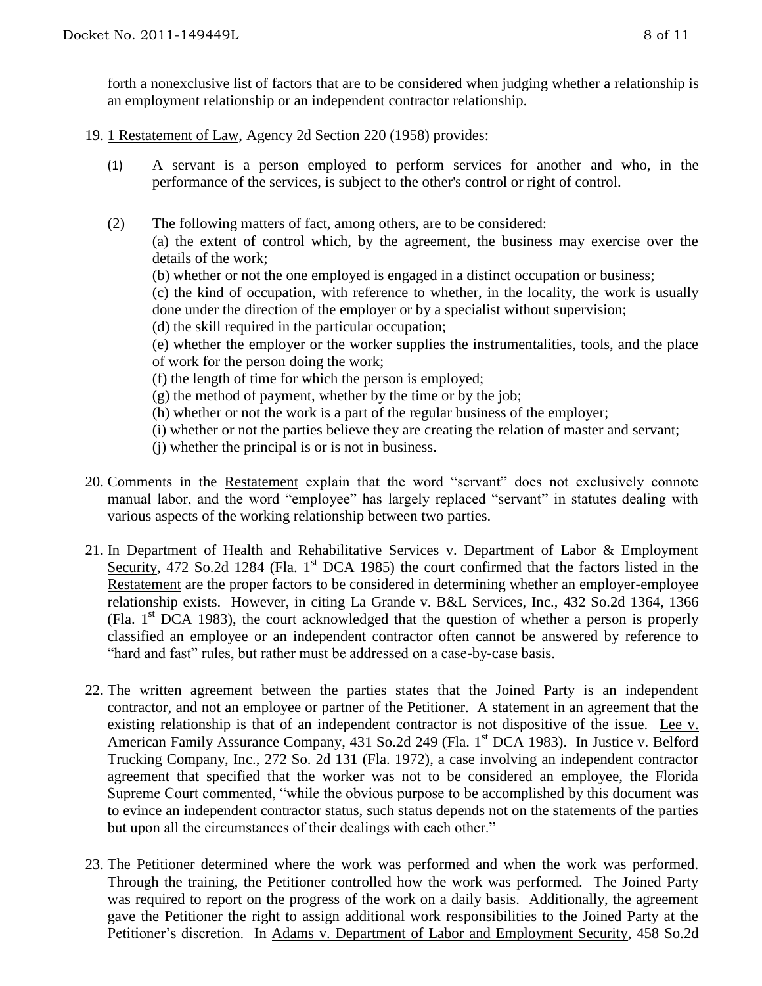forth a nonexclusive list of factors that are to be considered when judging whether a relationship is an employment relationship or an independent contractor relationship.

- 19. 1 Restatement of Law, Agency 2d Section 220 (1958) provides:
	- (1) A servant is a person employed to perform services for another and who, in the performance of the services, is subject to the other's control or right of control.
	- (2) The following matters of fact, among others, are to be considered:

(a) the extent of control which, by the agreement, the business may exercise over the details of the work;

(b) whether or not the one employed is engaged in a distinct occupation or business;

(c) the kind of occupation, with reference to whether, in the locality, the work is usually done under the direction of the employer or by a specialist without supervision;

(d) the skill required in the particular occupation;

(e) whether the employer or the worker supplies the instrumentalities, tools, and the place of work for the person doing the work;

- (f) the length of time for which the person is employed;
- (g) the method of payment, whether by the time or by the job;
- (h) whether or not the work is a part of the regular business of the employer;
- (i) whether or not the parties believe they are creating the relation of master and servant;
- (j) whether the principal is or is not in business.
- 20. Comments in the Restatement explain that the word "servant" does not exclusively connote manual labor, and the word "employee" has largely replaced "servant" in statutes dealing with various aspects of the working relationship between two parties.
- 21. In Department of Health and Rehabilitative Services v. Department of Labor & Employment Security, 472 So.2d 1284 (Fla. 1<sup>st</sup> DCA 1985) the court confirmed that the factors listed in the Restatement are the proper factors to be considered in determining whether an employer-employee relationship exists. However, in citing La Grande v. B&L Services, Inc., 432 So.2d 1364, 1366 (Fla.  $1<sup>st</sup>$  DCA 1983), the court acknowledged that the question of whether a person is properly classified an employee or an independent contractor often cannot be answered by reference to "hard and fast" rules, but rather must be addressed on a case-by-case basis.
- 22. The written agreement between the parties states that the Joined Party is an independent contractor, and not an employee or partner of the Petitioner. A statement in an agreement that the existing relationship is that of an independent contractor is not dispositive of the issue. Lee v. American Family Assurance Company, 431 So.2d 249 (Fla. 1<sup>st</sup> DCA 1983). In Justice v. Belford Trucking Company, Inc., 272 So. 2d 131 (Fla. 1972), a case involving an independent contractor agreement that specified that the worker was not to be considered an employee, the Florida Supreme Court commented, "while the obvious purpose to be accomplished by this document was to evince an independent contractor status, such status depends not on the statements of the parties but upon all the circumstances of their dealings with each other."
- 23. The Petitioner determined where the work was performed and when the work was performed. Through the training, the Petitioner controlled how the work was performed. The Joined Party was required to report on the progress of the work on a daily basis. Additionally, the agreement gave the Petitioner the right to assign additional work responsibilities to the Joined Party at the Petitioner's discretion. In Adams v. Department of Labor and Employment Security, 458 So.2d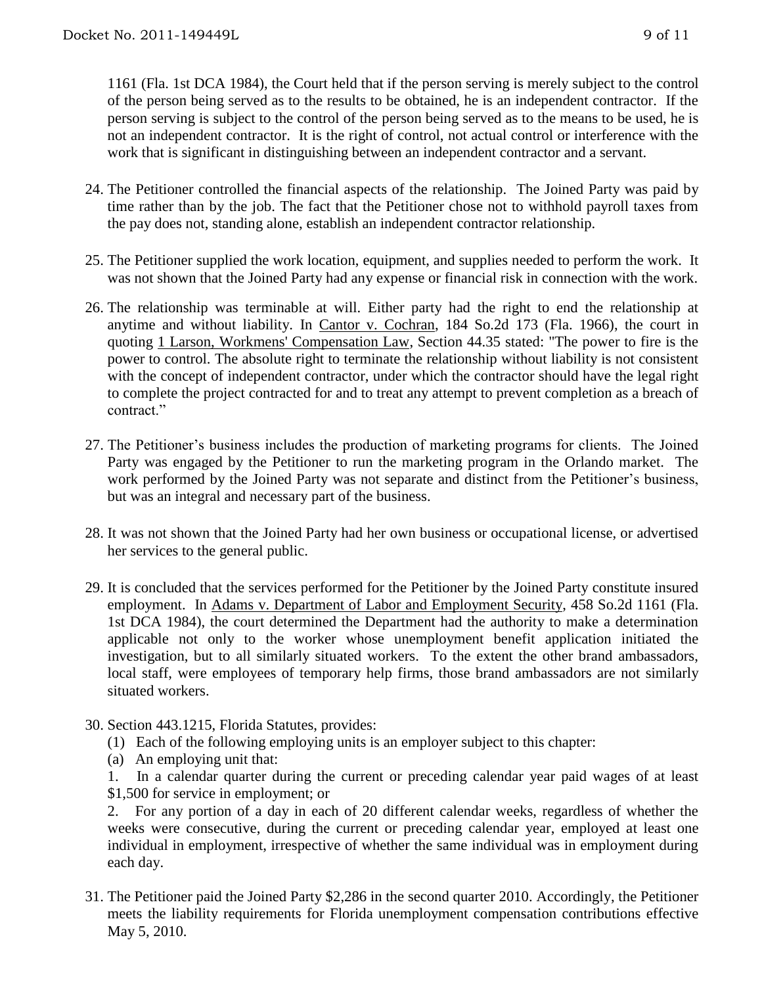1161 (Fla. 1st DCA 1984), the Court held that if the person serving is merely subject to the control of the person being served as to the results to be obtained, he is an independent contractor. If the person serving is subject to the control of the person being served as to the means to be used, he is not an independent contractor. It is the right of control, not actual control or interference with the work that is significant in distinguishing between an independent contractor and a servant.

- 24. The Petitioner controlled the financial aspects of the relationship. The Joined Party was paid by time rather than by the job. The fact that the Petitioner chose not to withhold payroll taxes from the pay does not, standing alone, establish an independent contractor relationship.
- 25. The Petitioner supplied the work location, equipment, and supplies needed to perform the work. It was not shown that the Joined Party had any expense or financial risk in connection with the work.
- 26. The relationship was terminable at will. Either party had the right to end the relationship at anytime and without liability. In Cantor v. Cochran, 184 So.2d 173 (Fla. 1966), the court in quoting 1 Larson, Workmens' Compensation Law, Section 44.35 stated: "The power to fire is the power to control. The absolute right to terminate the relationship without liability is not consistent with the concept of independent contractor, under which the contractor should have the legal right to complete the project contracted for and to treat any attempt to prevent completion as a breach of contract."
- 27. The Petitioner's business includes the production of marketing programs for clients. The Joined Party was engaged by the Petitioner to run the marketing program in the Orlando market. The work performed by the Joined Party was not separate and distinct from the Petitioner's business, but was an integral and necessary part of the business.
- 28. It was not shown that the Joined Party had her own business or occupational license, or advertised her services to the general public.
- 29. It is concluded that the services performed for the Petitioner by the Joined Party constitute insured employment. In Adams v. Department of Labor and Employment Security, 458 So.2d 1161 (Fla. 1st DCA 1984), the court determined the Department had the authority to make a determination applicable not only to the worker whose unemployment benefit application initiated the investigation, but to all similarly situated workers. To the extent the other brand ambassadors, local staff, were employees of temporary help firms, those brand ambassadors are not similarly situated workers.
- 30. Section 443.1215, Florida Statutes, provides:
	- (1) Each of the following employing units is an employer subject to this chapter:
	- (a) An employing unit that:

1. In a calendar quarter during the current or preceding calendar year paid wages of at least \$1,500 for service in employment; or

2. For any portion of a day in each of 20 different calendar weeks, regardless of whether the weeks were consecutive, during the current or preceding calendar year, employed at least one individual in employment, irrespective of whether the same individual was in employment during each day.

31. The Petitioner paid the Joined Party \$2,286 in the second quarter 2010. Accordingly, the Petitioner meets the liability requirements for Florida unemployment compensation contributions effective May 5, 2010.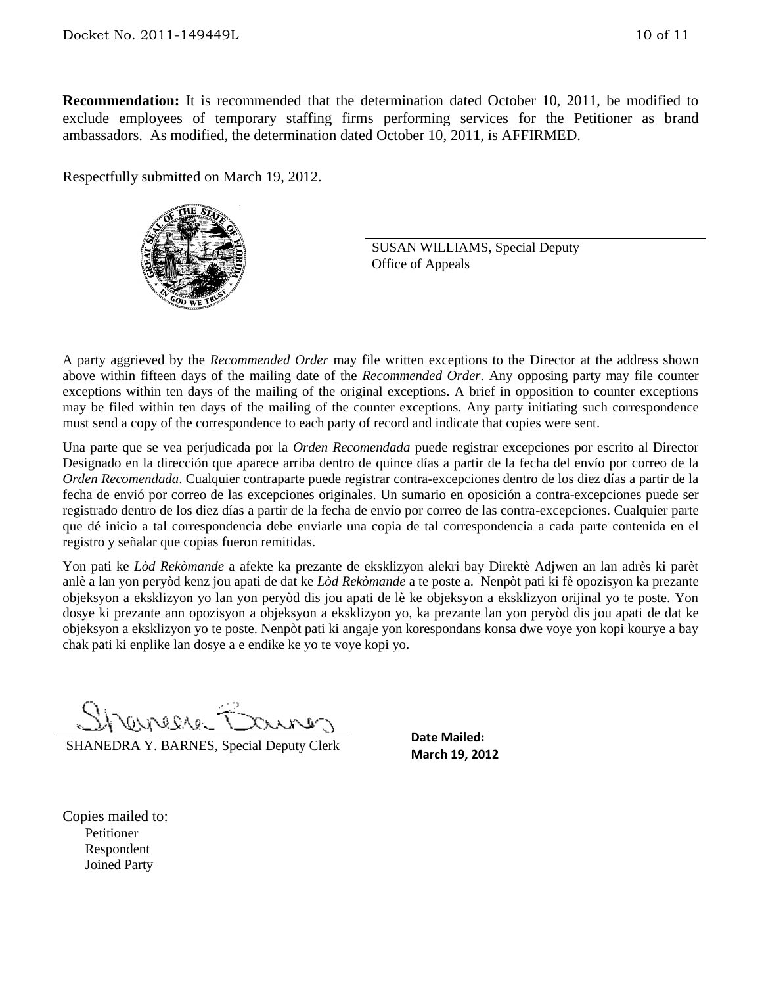**Recommendation:** It is recommended that the determination dated October 10, 2011, be modified to exclude employees of temporary staffing firms performing services for the Petitioner as brand ambassadors. As modified, the determination dated October 10, 2011, is AFFIRMED.

Respectfully submitted on March 19, 2012.



SUSAN WILLIAMS, Special Deputy Office of Appeals

A party aggrieved by the *Recommended Order* may file written exceptions to the Director at the address shown above within fifteen days of the mailing date of the *Recommended Order*. Any opposing party may file counter exceptions within ten days of the mailing of the original exceptions. A brief in opposition to counter exceptions may be filed within ten days of the mailing of the counter exceptions. Any party initiating such correspondence must send a copy of the correspondence to each party of record and indicate that copies were sent.

Una parte que se vea perjudicada por la *Orden Recomendada* puede registrar excepciones por escrito al Director Designado en la dirección que aparece arriba dentro de quince días a partir de la fecha del envío por correo de la *Orden Recomendada*. Cualquier contraparte puede registrar contra-excepciones dentro de los diez días a partir de la fecha de envió por correo de las excepciones originales. Un sumario en oposición a contra-excepciones puede ser registrado dentro de los diez días a partir de la fecha de envío por correo de las contra-excepciones. Cualquier parte que dé inicio a tal correspondencia debe enviarle una copia de tal correspondencia a cada parte contenida en el registro y señalar que copias fueron remitidas.

Yon pati ke *Lòd Rekòmande* a afekte ka prezante de eksklizyon alekri bay Direktè Adjwen an lan adrès ki parèt anlè a lan yon peryòd kenz jou apati de dat ke *Lòd Rekòmande* a te poste a. Nenpòt pati ki fè opozisyon ka prezante objeksyon a eksklizyon yo lan yon peryòd dis jou apati de lè ke objeksyon a eksklizyon orijinal yo te poste. Yon dosye ki prezante ann opozisyon a objeksyon a eksklizyon yo, ka prezante lan yon peryòd dis jou apati de dat ke objeksyon a eksklizyon yo te poste. Nenpòt pati ki angaje yon korespondans konsa dwe voye yon kopi kourye a bay chak pati ki enplike lan dosye a e endike ke yo te voye kopi yo.

EL 102000

SHANEDRA Y. BARNES, Special Deputy Clerk

**Date Mailed: March 19, 2012**

Copies mailed to: Petitioner Respondent Joined Party